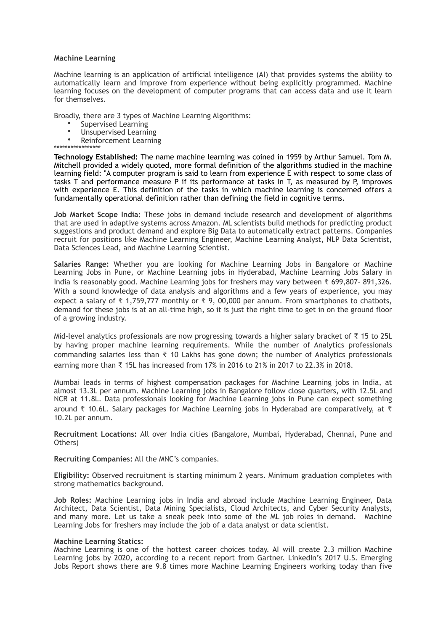## **Machine Learning**

Machine learning is an application of artificial intelligence (AI) that provides systems the ability to automatically learn and improve from experience without being explicitly programmed. Machine learning focuses on the development of computer programs that can access data and use it learn for themselves.

Broadly, there are 3 types of Machine Learning Algorithms:

- Supervised Learning<br>• Unsupersited Learning
- Unsupervised Learning<br>• Poinforcement Learnin
- Reinforcement Learning

\*\*\*\*\*\*\*\*\*\*\*\*\*\*\*\*\* **Technology Established:** The name machine learning was coined in 1959 by Arthur Samuel. Tom M. Mitchell provided a widely quoted, more formal definition of the algorithms studied in the machine learning field: "A computer program is said to learn from experience E with respect to some class of tasks T and performance measure P if its performance at tasks in T, as measured by P, improves with experience E. This definition of the tasks in which machine learning is concerned offers a fundamentally operational definition rather than defining the field in cognitive terms.

**Job Market Scope India:** These jobs in demand include research and development of algorithms that are used in adaptive systems across Amazon. ML scientists build methods for predicting product suggestions and product demand and explore Big Data to automatically extract patterns. Companies recruit for positions like Machine Learning Engineer, Machine Learning Analyst, NLP Data Scientist, Data Sciences Lead, and Machine Learning Scientist.

**Salaries Range:** Whether you are looking for Machine Learning Jobs in Bangalore or Machine Learning Jobs in Pune, or Machine Learning jobs in Hyderabad, Machine Learning Jobs Salary in India is reasonably good. Machine Learning jobs for freshers may vary between ₹ 699,807- 891,326. With a sound knowledge of data analysis and algorithms and a few years of experience, you may expect a salary of  $\overline{\xi}$  1,759,777 monthly or  $\overline{\xi}$  9, 00,000 per annum. From smartphones to chatbots, demand for these jobs is at an all-time high, so it is just the right time to get in on the ground floor of a growing industry.

Mid-level analytics professionals are now progressing towards a higher salary bracket of ₹ 15 to 25L by having proper machine learning requirements. While the number of Analytics professionals commanding salaries less than ₹ 10 Lakhs has gone down; the number of Analytics professionals earning more than  $\overline{\xi}$  15L has increased from 17% in 2016 to 21% in 2017 to 22.3% in 2018.

Mumbai leads in terms of highest compensation packages for Machine Learning jobs in India, at almost 13.3L per annum. Machine Learning jobs in Bangalore follow close quarters, with 12.5L and NCR at 11.8L. Data professionals looking for Machine Learning jobs in Pune can expect something around ₹ 10.6L. Salary packages for Machine Learning jobs in Hyderabad are comparatively, at ₹ 10.2L per annum.

**Recruitment Locations:** All over India cities (Bangalore, Mumbai, Hyderabad, Chennai, Pune and Others)

**Recruiting Companies:** All the MNC's companies.

**Eligibility:** Observed recruitment is starting minimum 2 years. Minimum graduation completes with strong mathematics background.

**Job Roles:** Machine Learning jobs in India and abroad include Machine Learning Engineer, Data Architect, Data Scientist, Data Mining Specialists, Cloud Architects, and Cyber Security Analysts, and many more. Let us take a sneak peek into some of the ML job roles in demand. Machine Learning Jobs for freshers may include the job of a data analyst or data scientist.

## **Machine Learning Statics:**

Machine Learning is one of the hottest career choices today. AI will create 2.3 million Machine Learning jobs by 2020, according to a recent report from Gartner. LinkedIn's 2017 U.S. Emerging Jobs Report shows there are 9.8 times more Machine Learning Engineers working today than five